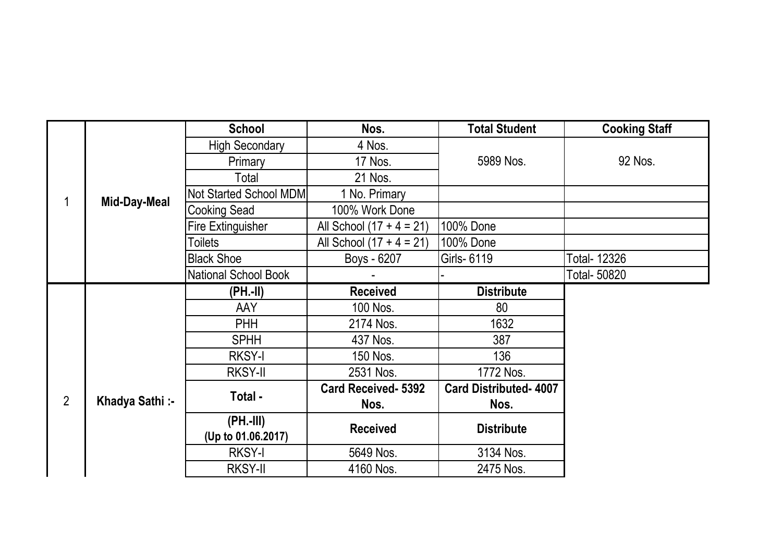|                |                | <b>School</b>                 | Nos.                       | <b>Total Student</b>         | <b>Cooking Staff</b> |
|----------------|----------------|-------------------------------|----------------------------|------------------------------|----------------------|
|                | Mid-Day-Meal   | <b>High Secondary</b>         | 4 Nos.                     | 5989 Nos.                    | 92 Nos.              |
|                |                | Primary                       | 17 Nos.                    |                              |                      |
|                |                | Total                         | 21 Nos.                    |                              |                      |
|                |                | <b>Not Started School MDM</b> | 1 No. Primary              |                              |                      |
|                |                | <b>Cooking Sead</b>           | 100% Work Done             |                              |                      |
|                |                | <b>Fire Extinguisher</b>      | All School $(17 + 4 = 21)$ | 100% Done                    |                      |
|                |                | <b>Toilets</b>                | All School $(17 + 4 = 21)$ | 100% Done                    |                      |
|                |                | <b>Black Shoe</b>             | Boys - 6207                | Girls- 6119                  | <b>Total- 12326</b>  |
|                |                | National School Book          |                            |                              | Total- 50820         |
|                |                | (PH.-II)                      | <b>Received</b>            | <b>Distribute</b>            |                      |
|                |                | <b>AAY</b>                    | 100 Nos.                   | 80                           |                      |
|                |                | <b>PHH</b>                    | 2174 Nos.                  | 1632                         |                      |
|                |                | <b>SPHH</b>                   | 437 Nos.                   | 387                          |                      |
|                |                | <b>RKSY-I</b>                 | 150 Nos.                   | 136                          |                      |
|                |                | <b>RKSY-II</b>                | 2531 Nos.                  | 1772 Nos.                    |                      |
| $\overline{2}$ | Khadya Sathi:- | Total -                       | <b>Card Received- 5392</b> | <b>Card Distributed-4007</b> |                      |
|                |                |                               | Nos.                       | Nos.                         |                      |
|                |                | (PH.-III)                     | <b>Received</b>            | <b>Distribute</b>            |                      |
|                |                | (Up to 01.06.2017)            |                            |                              |                      |
|                |                | <b>RKSY-I</b>                 | 5649 Nos.                  | 3134 Nos.                    |                      |
|                |                | <b>RKSY-II</b>                | 4160 Nos.                  | 2475 Nos.                    |                      |